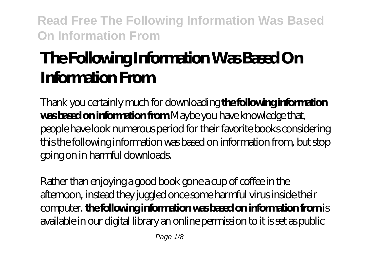# **The Following Information Was Based On Information From**

Thank you certainly much for downloading **the following information was based on information from**.Maybe you have knowledge that, people have look numerous period for their favorite books considering this the following information was based on information from, but stop going on in harmful downloads.

Rather than enjoying a good book gone a cup of coffee in the afternoon, instead they juggled once some harmful virus inside their computer. **the following information was based on information from** is available in our digital library an online permission to it is set as public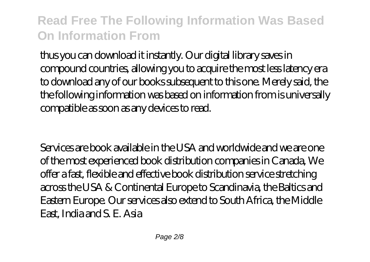thus you can download it instantly. Our digital library saves in compound countries, allowing you to acquire the most less latency era to download any of our books subsequent to this one. Merely said, the the following information was based on information from is universally compatible as soon as any devices to read.

Services are book available in the USA and worldwide and we are one of the most experienced book distribution companies in Canada, We offer a fast, flexible and effective book distribution service stretching across the USA & Continental Europe to Scandinavia, the Baltics and Eastern Europe. Our services also extend to South Africa, the Middle East, India and S. E. Asia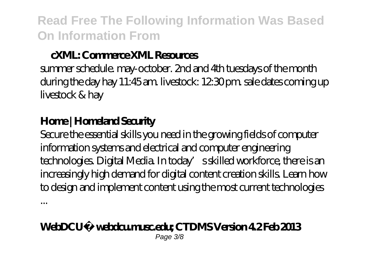#### **cXML: Commerce XML Resources**

summer schedule. may-october. 2nd and 4th tuesdays of the month during the day hay 11:45 am. livestock: 12:30 pm, sale dates coming up livestock & hay

#### **Home | Homeland Security**

...

Secure the essential skills you need in the growing fields of computer information systems and electrical and computer engineering technologies. Digital Media. In today's skilled workforce, there is an increasingly high demand for digital content creation skills. Learn how to design and implement content using the most current technologies

#### **WebDCU™ webdcu.musc.edu; CTDMS Version 4.2 Feb 2013** Page 3/8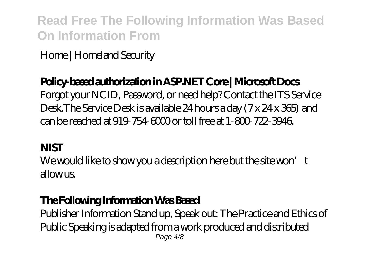Home | Homeland Security

#### **Policy-based authorization in ASP.NET Core | Microsoft Docs**

Forgot your NCID, Password, or need help? Contact the ITS Service Desk.The Service Desk is available 24 hours a day (7 x 24 x 365) and can be reached at 919-754-6000 or toll free at 1-800-722-3946.

#### **NIST**

We would like to show you a description here but the site won't allow us.

#### **The Following Information Was Based**

Publisher Information Stand up, Speak out: The Practice and Ethics of Public Speaking is adapted from a work produced and distributed Page 4/8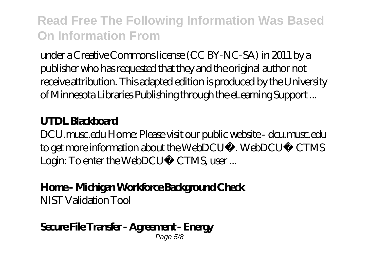under a Creative Commons license (CC BY-NC-SA) in 2011 by a publisher who has requested that they and the original author not receive attribution. This adapted edition is produced by the University of Minnesota Libraries Publishing through the eLearning Support ...

#### **UTDL Blackboard**

DCU.musc.edu Home: Please visit our public website - dcu.musc.edu to get more information about the WebDCU™. WebDCU™ CTMS Login: To enter the WebDCU™ CTMS, user ...

**Home - Michigan Workforce Background Check** NIST Validation Tool

#### **Secure File Transfer - Agreement - Energy** Page 5/8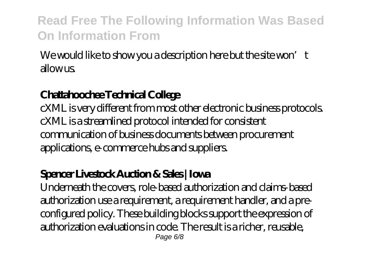We would like to show you a description here but the site won't  $\lambda$ llow  $\mu$ s

### **Chattahoochee Technical College**

cXML is very different from most other electronic business protocols. cXML is a streamlined protocol intended for consistent communication of business documents between procurement applications, e-commerce hubs and suppliers.

#### **Spencer Livestock Auction & Sales | Iowa**

Underneath the covers, role-based authorization and claims-based authorization use a requirement, a requirement handler, and a preconfigured policy. These building blocks support the expression of authorization evaluations in code. The result is a richer, reusable, Page 6/8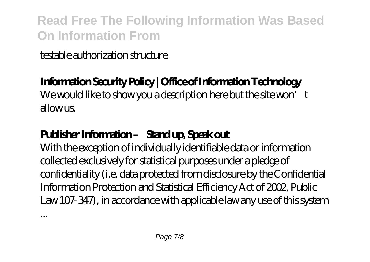testable authorization structure.

### **Information Security Policy | Office of Information Technology**

We would like to show you a description here but the site won't allowus

### **Publisher Information – Stand up, Speak out**

With the exception of individually identifiable data or information collected exclusively for statistical purposes under a pledge of confidentiality (i.e. data protected from disclosure by the Confidential Information Protection and Statistical Efficiency Act of 2002, Public Law 107-347), in accordance with applicable law any use of this system